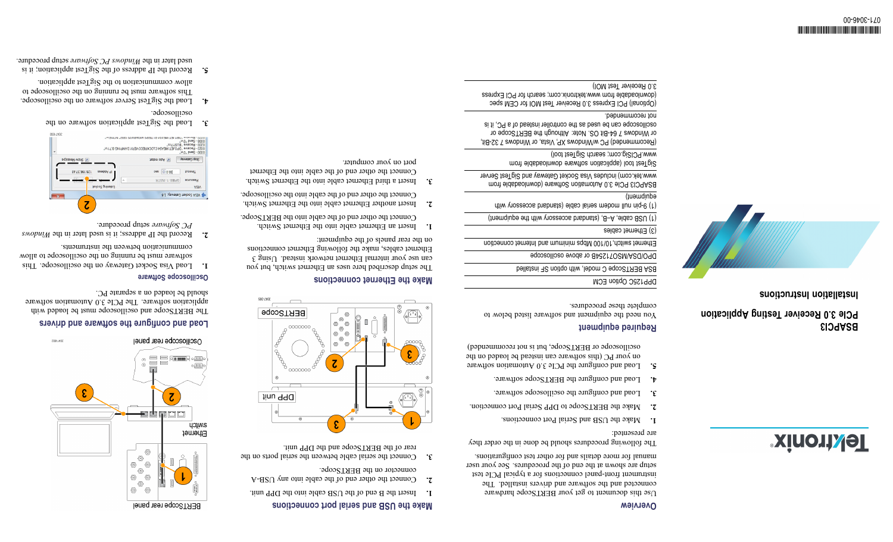## **Weiview**

Use this document to get your BERTScope hardware connected and the software and drivers installed. The iestrument front-panel connections for a typical PCIe test setup are shown at the end of the procedures. See your user anual for more details and for other test configurations.

The following procedures should be done in the order they are presented:

- Make the USB and Serial Port connections. **1.**
- Make the BERTScope to DPP Serial Port connection. **2.**
- $3. 5. 1.$  Load and configure the oscilloscope software.
- 4. Load and configure the BERTScope software.
- **5.** Load and configure the PCIe 3.0 Automation software on your PC (this software can instead be loaded on the oscilloscope or BERTScope, but is not recommended)

# **Required equipment**

You need the equipment and software listed below to complete these procedures.

# DPP125C Option ECM

BSA BERTScope C model, with option SF installed

DPO/DSA/MSO71254B or above oscilloscope

Ethernet switch,10/100 Mbps minimum and Internet connection

# (3) Ethernet cables

(1) USB cable, A–B, (standard accessory with the equipment)

(1) 9-pin null modem serial cable (standard accessory with

# equipment) BSAPCI3 PCIe 3.0 Automation Software (downloadable from

[www.tek.com](http://www.tek.com)) includes Visa Socket Gateway and SigTest Server SigTest tool (application software downloadable from

www.PCISig.com; search SigTest tool)

(Recommended) PC w/Windows XP, Vista, or Windows 7 32-Bit, or Windows 7 64-Bit OS. Note: Although the BERTScope or oscilloscope can be used as the controller instead of <sup>a</sup> PC, it is not recommended.

(Optional) PCI Express 3.0 Receiver Test MOI for CEM spec (downloadable from www.tektronix.com; search for PCI Express 3.0 Receiver Test MOI)

# **BSAPCI3 PCIe 3.0 Receiver Testing Application**

**ZZZ Installation Instructions**

**Softwork** 



# port on your computer.

Insert <sup>a</sup> third Ethernet cable into the Ethernet Switch. **3.** Connect the other end of the cable into the Ethernet

### 0 100 - Banaina "Indo IET-MEASA EII TEOS-MICHOASS-SOEN NUMEN".<br>10 100 - Send Myr<br>10 200 - Receive "BUSY? 800-2008 000 - Send "0Vn"<br>202 - Rosela Victor IDPOJET: MEAS4 (CLOCKRECOVERY: DAMPING 0.71Vn"<br>202 - Receive "RITSYSV" Кемерету дозд saõessam mouc V. Auto restart

- Load the SigTest application software on the **3.** oscilloscope.
- Load the SigTest Server software on the oscilloscope. **4.** This software must be running on the oscilloscope to allow communication to the SigTest application.

84.75.1981.85

Z

200:2009

 $\epsilon$ 

**5.** Record the II address of the SigTest application; it is setup procedure. *Windows PC Software* used later in the

# 300-7406 | BERTScope | ┘。◎<br>◎ ◎  $\blacksquare$ 000000  $\langle$ O  $\circledcirc$  $^{\circ}$  $^{\circ}$  $\circledcirc$ Ó  $\overline{c}$  $\sigma$ 0000000 **Jinu 990**  $\epsilon$

**Make the USB and serial port connections** Insert the B end of the USB cable into the DPP unit. **1.** Connect the other end of the cable into any USB-A **2.**

3. Connect the serial cable between the serial ports on the rear of the BERTScope and the DPP unit.

connector on the BERTScope.

The setup described here uses an Ethernet switch, but you can use your internal Ethernet iowher interact  $\Omega$  and  $\Omega$ Ethernet cables, make the following Ethernet connections on the rear panels of the equipment:

- Insert an Ethernet cable into the Ethernet Switch. **1.**
- Insert another Ethernet cable into the Ethernet Switch. **2.** Connect the other end of the cable into the oscilloscope.





The BERTScope and oscilloscope must be loaded with application software. The PCIe 3.0 Automation software should be loaded on <sup>a</sup> separate PC.

- Load Visa Socket Gateway on the oscilloscope. This **1.** software must be running on the oscilloscope to allow communication between the instruments.
- *Windows* Record the IP address; it is used later in the **2.** setup procedure. *PC Software*
- 

 $000 = 0.005$ 

GPIBS 1-1NSTR

timeout

6. VISA Socket Gateway, 1.6

**Make the Ethernet connections** Œ)

- Connect the other end of the cable into the BERTScope.
- 
- 





# **gure the software and drivers fi Load and con**

# **Oscilloscope Software**

 $\overline{c}$ 

**币**凹凹

BERTScope rear panel

awitch Ethernet

- g d

⊃<br>®®  $^{\circ}$ -<br>©  $\circledcirc$ ⊙  $\circ$ - o - $\circledcirc$   $\circledcirc$ 

захрод бышарят